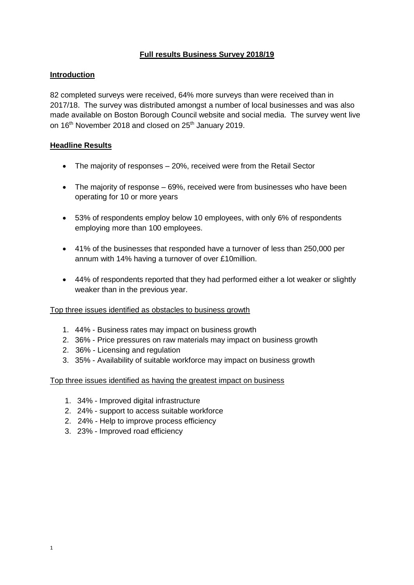# **Full results Business Survey 2018/19**

## **Introduction**

82 completed surveys were received, 64% more surveys than were received than in 2017/18. The survey was distributed amongst a number of local businesses and was also made available on Boston Borough Council website and social media. The survey went live on 16<sup>th</sup> November 2018 and closed on 25<sup>th</sup> January 2019.

## **Headline Results**

- The majority of responses 20%, received were from the Retail Sector
- The majority of response 69%, received were from businesses who have been operating for 10 or more years
- 53% of respondents employ below 10 employees, with only 6% of respondents employing more than 100 employees.
- 41% of the businesses that responded have a turnover of less than 250,000 per annum with 14% having a turnover of over £10million.
- 44% of respondents reported that they had performed either a lot weaker or slightly weaker than in the previous year.

## Top three issues identified as obstacles to business growth

- 1. 44% Business rates may impact on business growth
- 2. 36% Price pressures on raw materials may impact on business growth
- 2. 36% Licensing and regulation
- 3. 35% Availability of suitable workforce may impact on business growth

Top three issues identified as having the greatest impact on business

- 1. 34% Improved digital infrastructure
- 2. 24% support to access suitable workforce
- 2. 24% Help to improve process efficiency
- 3. 23% Improved road efficiency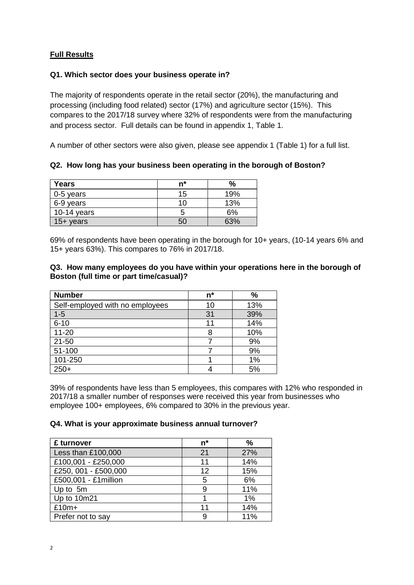# **Full Results**

## **Q1. Which sector does your business operate in?**

The majority of respondents operate in the retail sector (20%), the manufacturing and processing (including food related) sector (17%) and agriculture sector (15%). This compares to the 2017/18 survey where 32% of respondents were from the manufacturing and process sector. Full details can be found in appendix 1, Table 1.

A number of other sectors were also given, please see appendix 1 (Table 1) for a full list.

**Q2. How long has your business been operating in the borough of Boston?**

| Years               | n* | %   |
|---------------------|----|-----|
| $0-5$ years         | 15 | 19% |
| 6-9 years           | 10 | 13% |
| 10-14 years         |    | 6%  |
| $15 + \text{years}$ | 50 | 63% |

69% of respondents have been operating in the borough for 10+ years, (10-14 years 6% and 15+ years 63%). This compares to 76% in 2017/18.

## **Q3. How many employees do you have within your operations here in the borough of Boston (full time or part time/casual)?**

| <b>Number</b>                   | n* | $\%$ |
|---------------------------------|----|------|
| Self-employed with no employees | 10 | 13%  |
| $1 - 5$                         | 31 | 39%  |
| $6 - 10$                        | 11 | 14%  |
| $11 - 20$                       |    | 10%  |
| $21 - 50$                       |    | 9%   |
| 51-100                          |    | 9%   |
| 101-250                         |    | 1%   |
| $250+$                          |    | 5%   |

39% of respondents have less than 5 employees, this compares with 12% who responded in 2017/18 a smaller number of responses were received this year from businesses who employee 100+ employees, 6% compared to 30% in the previous year.

## **Q4. What is your approximate business annual turnover?**

| £ turnover            | $n^*$ | %   |
|-----------------------|-------|-----|
| Less than £100,000    | 21    | 27% |
| £100,001 - £250,000   | 11    | 14% |
| £250, 001 - £500,000  | 12    | 15% |
| £500,001 - £1 million | 5     | 6%  |
| Up to 5m              | 9     | 11% |
| Up to 10m21           |       | 1%  |
| $£10m+$               | 11    | 14% |
| Prefer not to say     | 9     | 11% |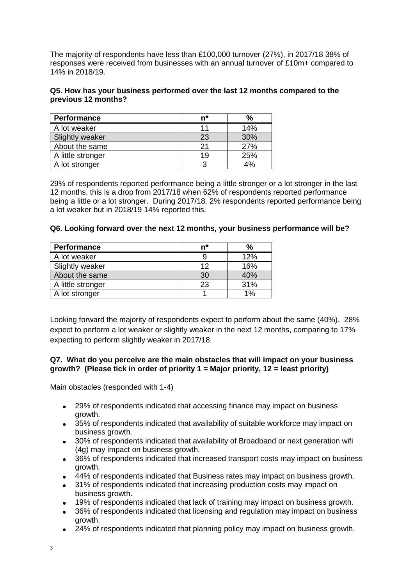The majority of respondents have less than £100,000 turnover (27%), in 2017/18 38% of responses were received from businesses with an annual turnover of £10m+ compared to 14% in 2018/19.

## **Q5. How has your business performed over the last 12 months compared to the previous 12 months?**

| Performance       | n* |     |
|-------------------|----|-----|
| A lot weaker      | 11 | 14% |
| Slightly weaker   | 23 | 30% |
| About the same    | 21 | 27% |
| A little stronger | 19 | 25% |
| A lot stronger    | 3  | 4%  |

29% of respondents reported performance being a little stronger or a lot stronger in the last 12 months, this is a drop from 2017/18 when 62% of respondents reported performance being a little or a lot stronger. During 2017/18, 2% respondents reported performance being a lot weaker but in 2018/19 14% reported this.

#### **Q6. Looking forward over the next 12 months, your business performance will be?**

| Performance       | n* | $\frac{9}{6}$ |
|-------------------|----|---------------|
| A lot weaker      | g  | 12%           |
| Slightly weaker   | 12 | 16%           |
| About the same    | 30 | 40%           |
| A little stronger | 23 | 31%           |
| A lot stronger    |    | 1%            |

Looking forward the majority of respondents expect to perform about the same (40%). 28% expect to perform a lot weaker or slightly weaker in the next 12 months, comparing to 17% expecting to perform slightly weaker in 2017/18.

## **Q7. What do you perceive are the main obstacles that will impact on your business growth? (Please tick in order of priority 1 = Major priority, 12 = least priority)**

Main obstacles (responded with 1-4)

- 29% of respondents indicated that accessing finance may impact on business growth.
- 35% of respondents indicated that availability of suitable workforce may impact on business growth.
- 30% of respondents indicated that availability of Broadband or next generation wifi (4g) may impact on business growth.
- 36% of respondents indicated that increased transport costs may impact on business growth.
- 44% of respondents indicated that Business rates may impact on business growth.
- 31% of respondents indicated that increasing production costs may impact on business growth.
- 19% of respondents indicated that lack of training may impact on business growth.
- 36% of respondents indicated that licensing and regulation may impact on business growth.
- 24% of respondents indicated that planning policy may impact on business growth.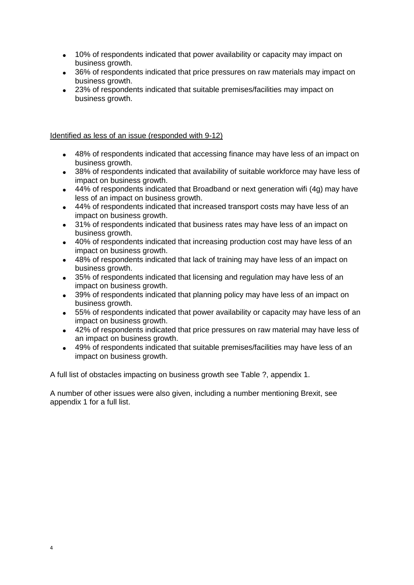- 10% of respondents indicated that power availability or capacity may impact on business growth.
- 36% of respondents indicated that price pressures on raw materials may impact on business growth.
- 23% of respondents indicated that suitable premises/facilities may impact on business growth.

#### Identified as less of an issue (responded with 9-12)

- 48% of respondents indicated that accessing finance may have less of an impact on business growth.
- 38% of respondents indicated that availability of suitable workforce may have less of impact on business growth.
- 44% of respondents indicated that Broadband or next generation wifi (4g) may have less of an impact on business growth.
- 44% of respondents indicated that increased transport costs may have less of an impact on business growth.
- 31% of respondents indicated that business rates may have less of an impact on business growth.
- 40% of respondents indicated that increasing production cost may have less of an impact on business growth.
- 48% of respondents indicated that lack of training may have less of an impact on business growth.
- 35% of respondents indicated that licensing and regulation may have less of an impact on business growth.
- 39% of respondents indicated that planning policy may have less of an impact on business growth.
- 55% of respondents indicated that power availability or capacity may have less of an impact on business growth.
- 42% of respondents indicated that price pressures on raw material may have less of an impact on business growth.
- 49% of respondents indicated that suitable premises/facilities may have less of an impact on business growth.

A full list of obstacles impacting on business growth see Table ?, appendix 1.

A number of other issues were also given, including a number mentioning Brexit, see appendix 1 for a full list.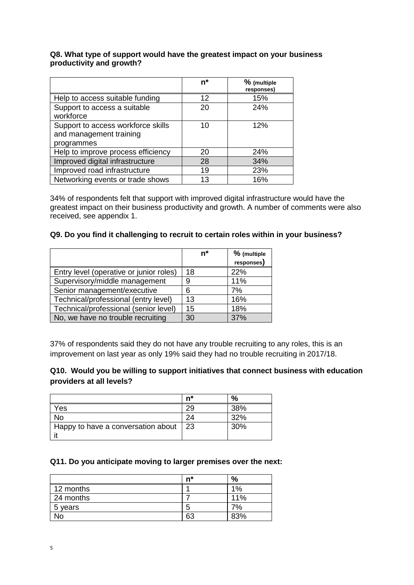#### **Q8. What type of support would have the greatest impact on your business productivity and growth?**

|                                                                             | $n^*$ | % (multiple<br>responses) |
|-----------------------------------------------------------------------------|-------|---------------------------|
| Help to access suitable funding                                             | 12    | 15%                       |
| Support to access a suitable<br>workforce                                   | 20    | 24%                       |
| Support to access workforce skills<br>and management training<br>programmes | 10    | 12%                       |
| Help to improve process efficiency                                          | 20    | 24%                       |
| Improved digital infrastructure                                             | 28    | 34%                       |
| Improved road infrastructure                                                | 19    | 23%                       |
| Networking events or trade shows                                            | 13    | 16%                       |

34% of respondents felt that support with improved digital infrastructure would have the greatest impact on their business productivity and growth. A number of comments were also received, see appendix 1.

## **Q9. Do you find it challenging to recruit to certain roles within in your business?**

|                                         | n* | % (multiple<br>responses) |
|-----------------------------------------|----|---------------------------|
| Entry level (operative or junior roles) | 18 | 22%                       |
| Supervisory/middle management           | 9  | 11%                       |
| Senior management/executive             | 6  | 7%                        |
| Technical/professional (entry level)    | 13 | 16%                       |
| Technical/professional (senior level)   | 15 | 18%                       |
| No, we have no trouble recruiting       | 30 | 37%                       |

37% of respondents said they do not have any trouble recruiting to any roles, this is an improvement on last year as only 19% said they had no trouble recruiting in 2017/18.

## **Q10. Would you be willing to support initiatives that connect business with education providers at all levels?**

|                                    | n* | $\%$ |
|------------------------------------|----|------|
| ⁄es                                |    | 38%  |
| No                                 | 24 | 32%  |
| Happy to have a conversation about | 23 | 30%  |
|                                    |    |      |

#### **Q11. Do you anticipate moving to larger premises over the next:**

|           | n* | %     |
|-----------|----|-------|
| 12 months |    | $1\%$ |
| 24 months |    | 11%   |
| 5 years   | 5  | 7%    |
| Nο        | 63 | 83%   |